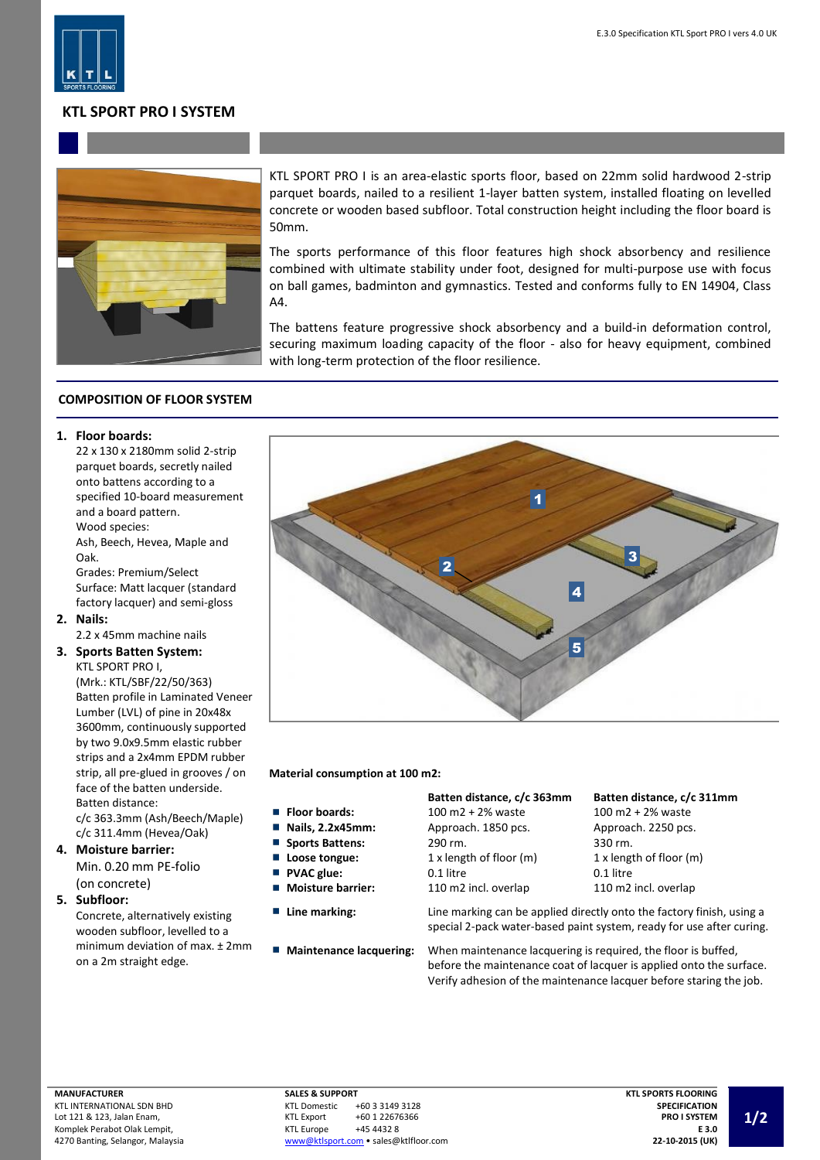

## **KTL SPORT PRO I SYSTEM**



KTL SPORT PRO I is an area-elastic sports floor, based on 22mm solid hardwood 2-strip parquet boards, nailed to a resilient 1-layer batten system, installed floating on levelled concrete or wooden based subfloor. Total construction height including the floor board is 50mm.

The sports performance of this floor features high shock absorbency and resilience combined with ultimate stability under foot, designed for multi-purpose use with focus on ball games, badminton and gymnastics. Tested and conforms fully to EN 14904, Class A4.

The battens feature progressive shock absorbency and a build-in deformation control, securing maximum loading capacity of the floor - also for heavy equipment, combined with long-term protection of the floor resilience.

## **COMPOSITION OF FLOOR SYSTEM**

### **1. Floor boards:**

22 x 130 x 2180mm solid 2-strip parquet boards, secretly nailed onto battens according to a specified 10-board measurement and a board pattern. Wood species: Ash, Beech, Hevea, Maple and

Oak.

Grades: Premium/Select Surface: Matt lacquer (standard factory lacquer) and semi-gloss

**2. Nails:**

2.2 x 45mm machine nails

## **3. Sports Batten System:** KTL SPORT PRO I,

(Mrk.: KTL/SBF/22/50/363) Batten profile in Laminated Veneer Lumber (LVL) of pine in 20x48x 3600mm, continuously supported by two 9.0x9.5mm elastic rubber strips and a 2x4mm EPDM rubber strip, all pre-glued in grooves / on face of the batten underside. Batten distance:

c/c 363.3mm (Ash/Beech/Maple) c/c 311.4mm (Hevea/Oak)

**4. Moisture barrier:** Min. 0.20 mm PE-folio (on concrete)

#### **5. Subfloor:**

Concrete, alternatively existing wooden subfloor, levelled to a minimum deviation of max. ± 2mm on a 2m straight edge.



**Material consumption at 100 m2:**

- **Floor boards:**
- **Nails, 2.2x45mm:**  $\mathbf{r}$
- г **Sports Battens:**
- г Loose tongue:
- П **PVAC glue:**
- П **Moisture barrier:**
- 
- 

| Batten distance, c/c 363mm | Batten distance, c/c 311mm   |
|----------------------------|------------------------------|
| 100 m2 + 2% waste          | $100 \text{ m}$ 2 + 2% waste |
| Approach. 1850 pcs.        | Approach. 2250 pcs.          |
| 290 rm.                    | 330 rm.                      |
| 1 x length of floor (m)    | 1 x length of floor (m)      |
| 0.1 litre                  | 0.1 litre                    |
| 110 m2 incl. overlap       | 110 m2 incl. overlap         |
|                            |                              |

**Line marking:** Line marking can be applied directly onto the factory finish, using a special 2-pack water-based paint system, ready for use after curing.

**Maintenance lacquering:** When maintenance lacquering is required, the floor is buffed, before the maintenance coat of lacquer is applied onto the surface. Verify adhesion of the maintenance lacquer before staring the job.